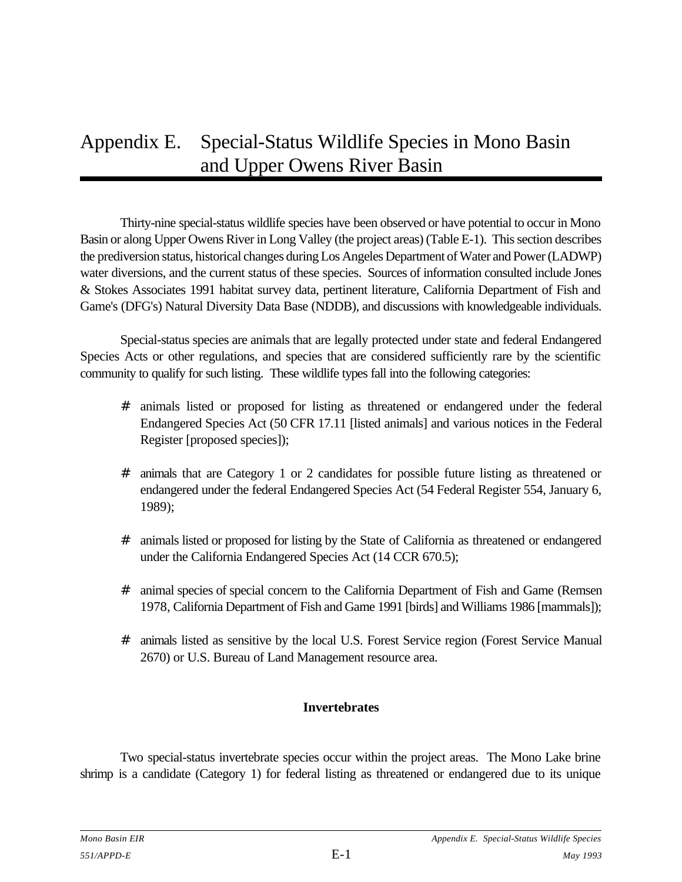# Appendix E. Special-Status Wildlife Species in Mono Basin and Upper Owens River Basin

Thirty-nine special-status wildlife species have been observed or have potential to occur in Mono Basin or along Upper Owens River in Long Valley (the project areas) (Table E-1). This section describes the prediversion status, historical changes during Los Angeles Department of Water and Power (LADWP) water diversions, and the current status of these species. Sources of information consulted include Jones & Stokes Associates 1991 habitat survey data, pertinent literature, California Department of Fish and Game's (DFG's) Natural Diversity Data Base (NDDB), and discussions with knowledgeable individuals.

Special-status species are animals that are legally protected under state and federal Endangered Species Acts or other regulations, and species that are considered sufficiently rare by the scientific community to qualify for such listing. These wildlife types fall into the following categories:

- # animals listed or proposed for listing as threatened or endangered under the federal Endangered Species Act (50 CFR 17.11 [listed animals] and various notices in the Federal Register [proposed species]);
- # animals that are Category 1 or 2 candidates for possible future listing as threatened or endangered under the federal Endangered Species Act (54 Federal Register 554, January 6, 1989);
- # animals listed or proposed for listing by the State of California as threatened or endangered under the California Endangered Species Act (14 CCR 670.5);
- # animal species of special concern to the California Department of Fish and Game (Remsen 1978, California Department of Fish and Game 1991 [birds] and Williams 1986 [mammals]);
- # animals listed as sensitive by the local U.S. Forest Service region (Forest Service Manual 2670) or U.S. Bureau of Land Management resource area.

### **Invertebrates**

Two special-status invertebrate species occur within the project areas. The Mono Lake brine shrimp is a candidate (Category 1) for federal listing as threatened or endangered due to its unique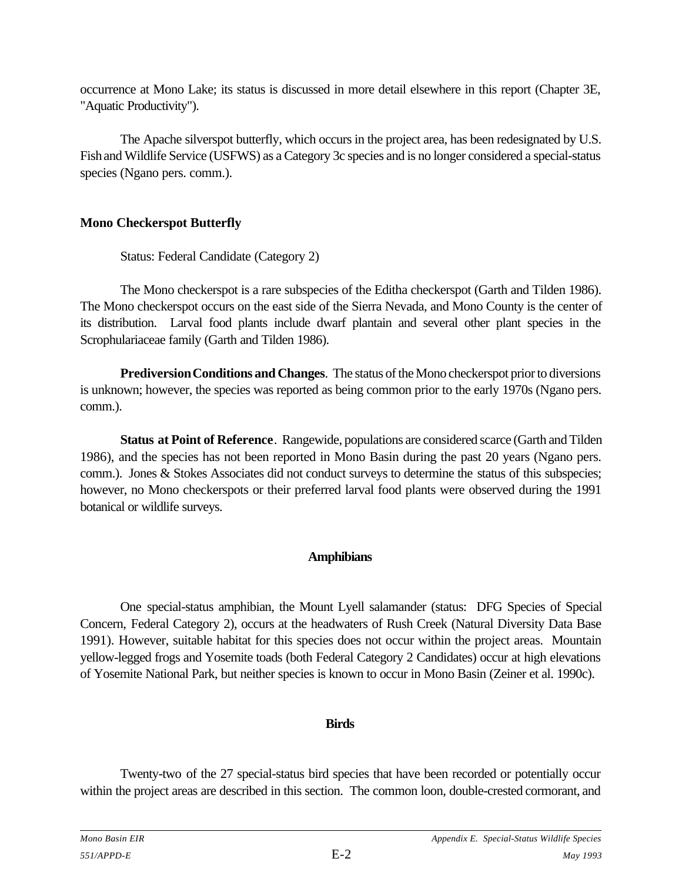occurrence at Mono Lake; its status is discussed in more detail elsewhere in this report (Chapter 3E, "Aquatic Productivity").

The Apache silverspot butterfly, which occurs in the project area, has been redesignated by U.S. Fish and Wildlife Service (USFWS) as a Category 3c species and is no longer considered a special-status species (Ngano pers. comm.).

### **Mono Checkerspot Butterfly**

Status: Federal Candidate (Category 2)

The Mono checkerspot is a rare subspecies of the Editha checkerspot (Garth and Tilden 1986). The Mono checkerspot occurs on the east side of the Sierra Nevada, and Mono County is the center of its distribution. Larval food plants include dwarf plantain and several other plant species in the Scrophulariaceae family (Garth and Tilden 1986).

**Prediversion Conditions and Changes**. The status of the Mono checkerspot prior to diversions is unknown; however, the species was reported as being common prior to the early 1970s (Ngano pers. comm.).

**Status at Point of Reference**. Rangewide, populations are considered scarce (Garth and Tilden 1986), and the species has not been reported in Mono Basin during the past 20 years (Ngano pers. comm.). Jones & Stokes Associates did not conduct surveys to determine the status of this subspecies; however, no Mono checkerspots or their preferred larval food plants were observed during the 1991 botanical or wildlife surveys.

### **Amphibians**

One special-status amphibian, the Mount Lyell salamander (status: DFG Species of Special Concern, Federal Category 2), occurs at the headwaters of Rush Creek (Natural Diversity Data Base 1991). However, suitable habitat for this species does not occur within the project areas. Mountain yellow-legged frogs and Yosemite toads (both Federal Category 2 Candidates) occur at high elevations of Yosemite National Park, but neither species is known to occur in Mono Basin (Zeiner et al. 1990c).

### **Birds**

Twenty-two of the 27 special-status bird species that have been recorded or potentially occur within the project areas are described in this section. The common loon, double-crested cormorant, and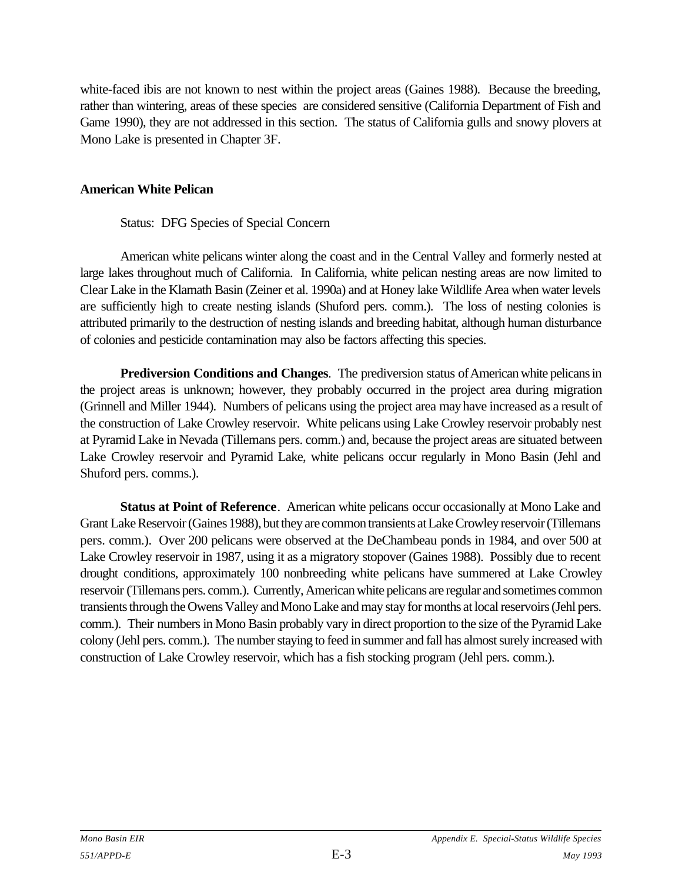white-faced ibis are not known to nest within the project areas (Gaines 1988). Because the breeding, rather than wintering, areas of these species are considered sensitive (California Department of Fish and Game 1990), they are not addressed in this section. The status of California gulls and snowy plovers at Mono Lake is presented in Chapter 3F.

#### **American White Pelican**

### Status: DFG Species of Special Concern

American white pelicans winter along the coast and in the Central Valley and formerly nested at large lakes throughout much of California. In California, white pelican nesting areas are now limited to Clear Lake in the Klamath Basin (Zeiner et al. 1990a) and at Honey lake Wildlife Area when water levels are sufficiently high to create nesting islands (Shuford pers. comm.). The loss of nesting colonies is attributed primarily to the destruction of nesting islands and breeding habitat, although human disturbance of colonies and pesticide contamination may also be factors affecting this species.

**Prediversion Conditions and Changes**. The prediversion status of American white pelicans in the project areas is unknown; however, they probably occurred in the project area during migration (Grinnell and Miller 1944). Numbers of pelicans using the project area may have increased as a result of the construction of Lake Crowley reservoir. White pelicans using Lake Crowley reservoir probably nest at Pyramid Lake in Nevada (Tillemans pers. comm.) and, because the project areas are situated between Lake Crowley reservoir and Pyramid Lake, white pelicans occur regularly in Mono Basin (Jehl and Shuford pers. comms.).

**Status at Point of Reference**. American white pelicans occur occasionally at Mono Lake and Grant Lake Reservoir (Gaines 1988), but they are common transients at Lake Crowley reservoir (Tillemans pers. comm.). Over 200 pelicans were observed at the DeChambeau ponds in 1984, and over 500 at Lake Crowley reservoir in 1987, using it as a migratory stopover (Gaines 1988). Possibly due to recent drought conditions, approximately 100 nonbreeding white pelicans have summered at Lake Crowley reservoir (Tillemans pers. comm.). Currently, American white pelicans are regular and sometimes common transients through the Owens Valley and Mono Lake and may stay for months at local reservoirs (Jehl pers. comm.). Their numbers in Mono Basin probably vary in direct proportion to the size of the Pyramid Lake colony (Jehl pers. comm.). The number staying to feed in summer and fall has almost surely increased with construction of Lake Crowley reservoir, which has a fish stocking program (Jehl pers. comm.).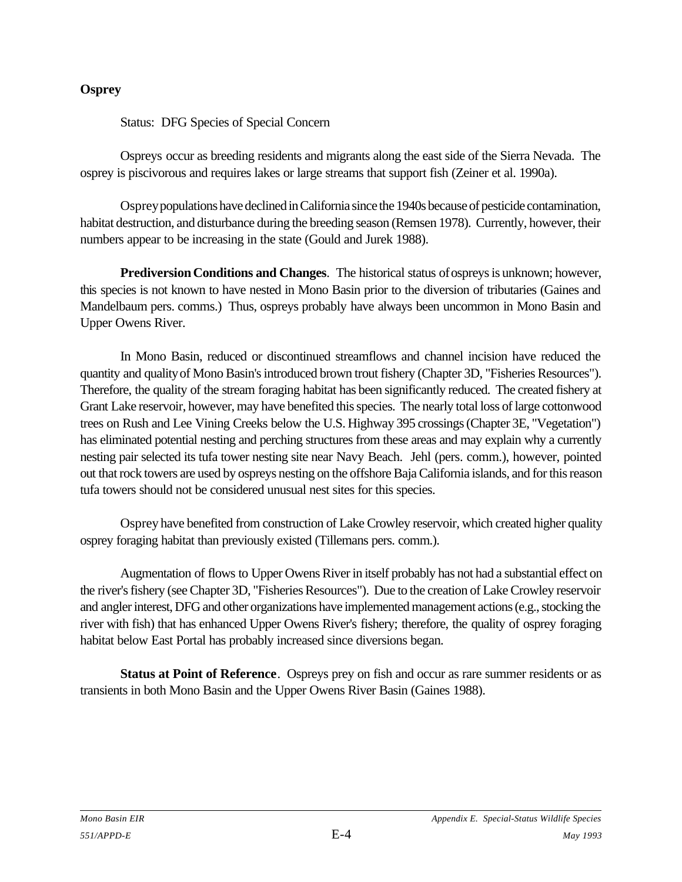### **Osprey**

Status: DFG Species of Special Concern

Ospreys occur as breeding residents and migrants along the east side of the Sierra Nevada. The osprey is piscivorous and requires lakes or large streams that support fish (Zeiner et al. 1990a).

Osprey populations have declined in California since the 1940s because of pesticide contamination, habitat destruction, and disturbance during the breeding season (Remsen 1978). Currently, however, their numbers appear to be increasing in the state (Gould and Jurek 1988).

**Prediversion Conditions and Changes**. The historical status of ospreys is unknown; however, this species is not known to have nested in Mono Basin prior to the diversion of tributaries (Gaines and Mandelbaum pers. comms.) Thus, ospreys probably have always been uncommon in Mono Basin and Upper Owens River.

In Mono Basin, reduced or discontinued streamflows and channel incision have reduced the quantity and quality of Mono Basin's introduced brown trout fishery (Chapter 3D, "Fisheries Resources"). Therefore, the quality of the stream foraging habitat has been significantly reduced. The created fishery at Grant Lake reservoir, however, may have benefited this species. The nearly total loss of large cottonwood trees on Rush and Lee Vining Creeks below the U.S. Highway 395 crossings (Chapter 3E, "Vegetation") has eliminated potential nesting and perching structures from these areas and may explain why a currently nesting pair selected its tufa tower nesting site near Navy Beach. Jehl (pers. comm.), however, pointed out that rock towers are used by ospreys nesting on the offshore Baja California islands, and for this reason tufa towers should not be considered unusual nest sites for this species.

Osprey have benefited from construction of Lake Crowley reservoir, which created higher quality osprey foraging habitat than previously existed (Tillemans pers. comm.).

Augmentation of flows to Upper Owens River in itself probably has not had a substantial effect on the river's fishery (see Chapter 3D, "Fisheries Resources"). Due to the creation of Lake Crowley reservoir and angler interest, DFG and other organizations have implemented management actions (e.g., stocking the river with fish) that has enhanced Upper Owens River's fishery; therefore, the quality of osprey foraging habitat below East Portal has probably increased since diversions began.

**Status at Point of Reference**. Ospreys prey on fish and occur as rare summer residents or as transients in both Mono Basin and the Upper Owens River Basin (Gaines 1988).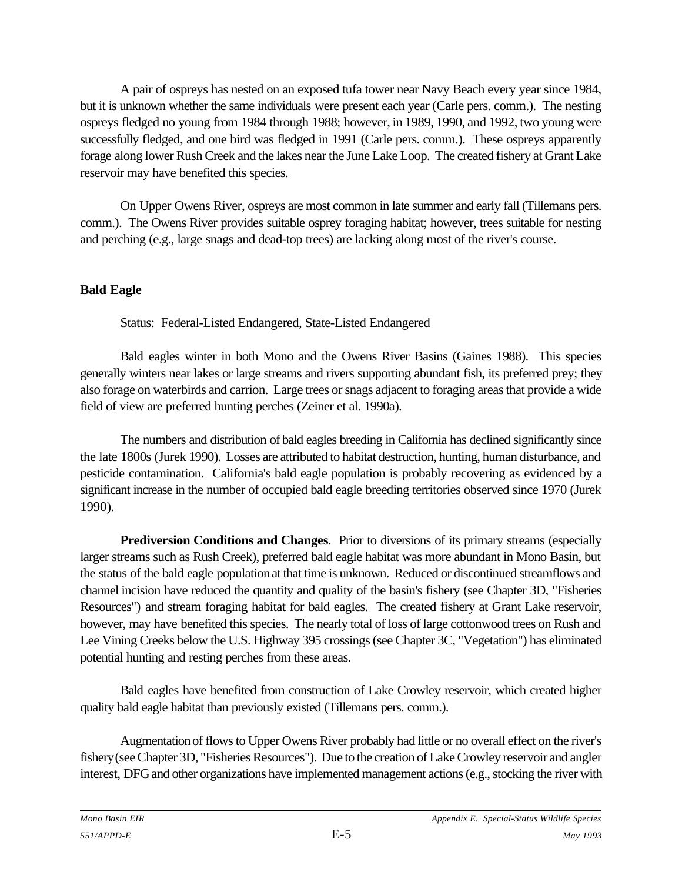A pair of ospreys has nested on an exposed tufa tower near Navy Beach every year since 1984, but it is unknown whether the same individuals were present each year (Carle pers. comm.). The nesting ospreys fledged no young from 1984 through 1988; however, in 1989, 1990, and 1992, two young were successfully fledged, and one bird was fledged in 1991 (Carle pers. comm.). These ospreys apparently forage along lower Rush Creek and the lakes near the June Lake Loop. The created fishery at Grant Lake reservoir may have benefited this species.

On Upper Owens River, ospreys are most common in late summer and early fall (Tillemans pers. comm.). The Owens River provides suitable osprey foraging habitat; however, trees suitable for nesting and perching (e.g., large snags and dead-top trees) are lacking along most of the river's course.

### **Bald Eagle**

Status: Federal-Listed Endangered, State-Listed Endangered

Bald eagles winter in both Mono and the Owens River Basins (Gaines 1988). This species generally winters near lakes or large streams and rivers supporting abundant fish, its preferred prey; they also forage on waterbirds and carrion. Large trees or snags adjacent to foraging areas that provide a wide field of view are preferred hunting perches (Zeiner et al. 1990a).

The numbers and distribution of bald eagles breeding in California has declined significantly since the late 1800s (Jurek 1990). Losses are attributed to habitat destruction, hunting, human disturbance, and pesticide contamination. California's bald eagle population is probably recovering as evidenced by a significant increase in the number of occupied bald eagle breeding territories observed since 1970 (Jurek 1990).

**Prediversion Conditions and Changes**. Prior to diversions of its primary streams (especially larger streams such as Rush Creek), preferred bald eagle habitat was more abundant in Mono Basin, but the status of the bald eagle population at that time is unknown. Reduced or discontinued streamflows and channel incision have reduced the quantity and quality of the basin's fishery (see Chapter 3D, "Fisheries Resources") and stream foraging habitat for bald eagles. The created fishery at Grant Lake reservoir, however, may have benefited this species. The nearly total of loss of large cottonwood trees on Rush and Lee Vining Creeks below the U.S. Highway 395 crossings (see Chapter 3C, "Vegetation") has eliminated potential hunting and resting perches from these areas.

Bald eagles have benefited from construction of Lake Crowley reservoir, which created higher quality bald eagle habitat than previously existed (Tillemans pers. comm.).

Augmentation of flows to Upper Owens River probably had little or no overall effect on the river's fishery (see Chapter 3D, "Fisheries Resources"). Due to the creation of Lake Crowley reservoir and angler interest, DFG and other organizations have implemented management actions (e.g., stocking the river with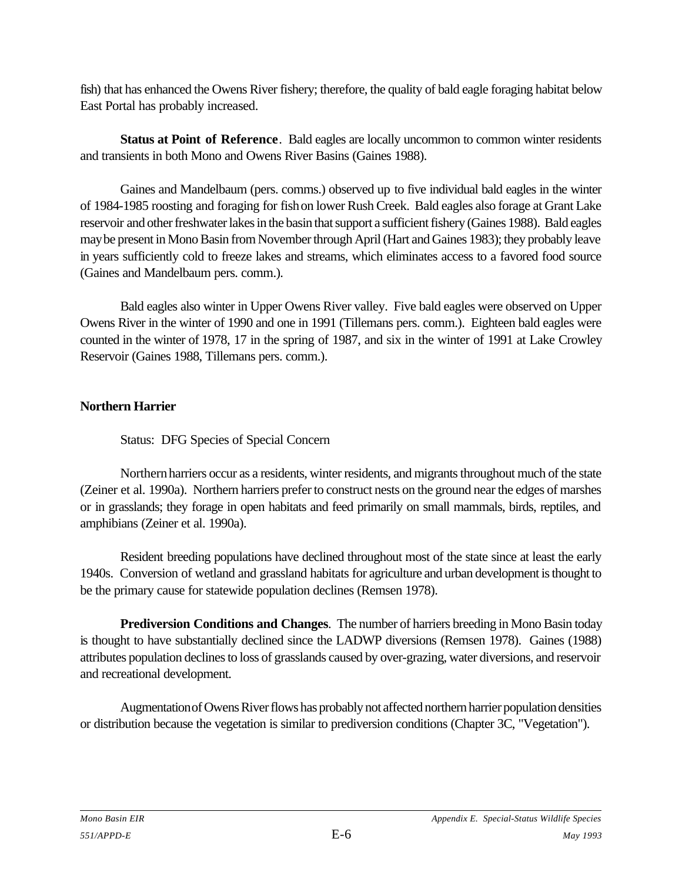fish) that has enhanced the Owens River fishery; therefore, the quality of bald eagle foraging habitat below East Portal has probably increased.

**Status at Point of Reference**. Bald eagles are locally uncommon to common winter residents and transients in both Mono and Owens River Basins (Gaines 1988).

Gaines and Mandelbaum (pers. comms.) observed up to five individual bald eagles in the winter of 1984-1985 roosting and foraging for fish on lower Rush Creek. Bald eagles also forage at Grant Lake reservoir and other freshwater lakes in the basin that support a sufficient fishery (Gaines 1988). Bald eagles may be present in Mono Basin from November through April (Hart and Gaines 1983); they probably leave in years sufficiently cold to freeze lakes and streams, which eliminates access to a favored food source (Gaines and Mandelbaum pers. comm.).

Bald eagles also winter in Upper Owens River valley. Five bald eagles were observed on Upper Owens River in the winter of 1990 and one in 1991 (Tillemans pers. comm.). Eighteen bald eagles were counted in the winter of 1978, 17 in the spring of 1987, and six in the winter of 1991 at Lake Crowley Reservoir (Gaines 1988, Tillemans pers. comm.).

### **Northern Harrier**

Status: DFG Species of Special Concern

Northern harriers occur as a residents, winter residents, and migrants throughout much of the state (Zeiner et al. 1990a). Northern harriers prefer to construct nests on the ground near the edges of marshes or in grasslands; they forage in open habitats and feed primarily on small mammals, birds, reptiles, and amphibians (Zeiner et al. 1990a).

Resident breeding populations have declined throughout most of the state since at least the early 1940s. Conversion of wetland and grassland habitats for agriculture and urban development is thought to be the primary cause for statewide population declines (Remsen 1978).

**Prediversion Conditions and Changes**. The number of harriers breeding in Mono Basin today is thought to have substantially declined since the LADWP diversions (Remsen 1978). Gaines (1988) attributes population declines to loss of grasslands caused by over-grazing, water diversions, and reservoir and recreational development.

Augmentation of Owens River flows has probably not affected northern harrier population densities or distribution because the vegetation is similar to prediversion conditions (Chapter 3C, "Vegetation").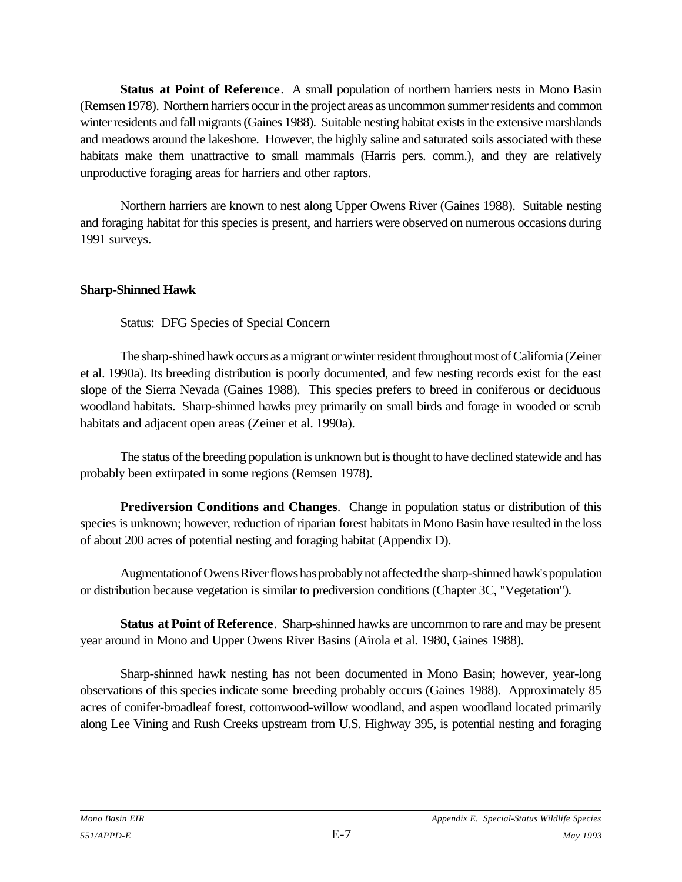**Status at Point of Reference**. A small population of northern harriers nests in Mono Basin (Remsen 1978). Northern harriers occur in the project areas as uncommon summer residents and common winter residents and fall migrants (Gaines 1988). Suitable nesting habitat exists in the extensive marshlands and meadows around the lakeshore. However, the highly saline and saturated soils associated with these habitats make them unattractive to small mammals (Harris pers. comm.), and they are relatively unproductive foraging areas for harriers and other raptors.

Northern harriers are known to nest along Upper Owens River (Gaines 1988). Suitable nesting and foraging habitat for this species is present, and harriers were observed on numerous occasions during 1991 surveys.

### **Sharp-Shinned Hawk**

Status: DFG Species of Special Concern

The sharp-shined hawk occurs as a migrant or winter resident throughout most of California (Zeiner et al. 1990a). Its breeding distribution is poorly documented, and few nesting records exist for the east slope of the Sierra Nevada (Gaines 1988). This species prefers to breed in coniferous or deciduous woodland habitats. Sharp-shinned hawks prey primarily on small birds and forage in wooded or scrub habitats and adjacent open areas (Zeiner et al. 1990a).

The status of the breeding population is unknown but is thought to have declined statewide and has probably been extirpated in some regions (Remsen 1978).

**Prediversion Conditions and Changes**. Change in population status or distribution of this species is unknown; however, reduction of riparian forest habitats in Mono Basin have resulted in the loss of about 200 acres of potential nesting and foraging habitat (Appendix D).

Augmentation of Owens River flows has probably not affected the sharp-shinned hawk's population or distribution because vegetation is similar to prediversion conditions (Chapter 3C, "Vegetation").

**Status at Point of Reference**. Sharp-shinned hawks are uncommon to rare and may be present year around in Mono and Upper Owens River Basins (Airola et al. 1980, Gaines 1988).

Sharp-shinned hawk nesting has not been documented in Mono Basin; however, year-long observations of this species indicate some breeding probably occurs (Gaines 1988). Approximately 85 acres of conifer-broadleaf forest, cottonwood-willow woodland, and aspen woodland located primarily along Lee Vining and Rush Creeks upstream from U.S. Highway 395, is potential nesting and foraging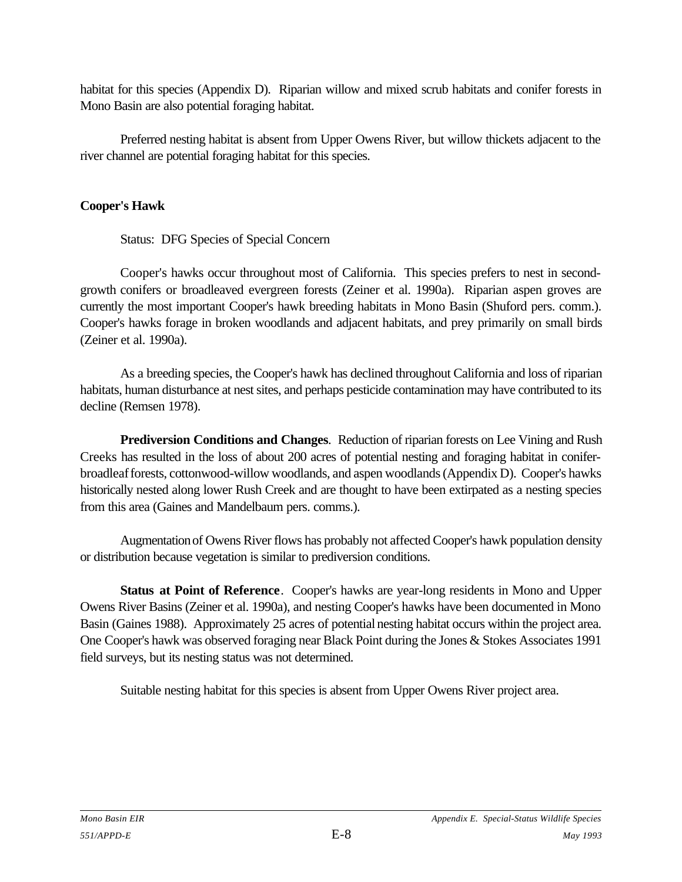habitat for this species (Appendix D). Riparian willow and mixed scrub habitats and conifer forests in Mono Basin are also potential foraging habitat.

Preferred nesting habitat is absent from Upper Owens River, but willow thickets adjacent to the river channel are potential foraging habitat for this species.

### **Cooper's Hawk**

Status: DFG Species of Special Concern

Cooper's hawks occur throughout most of California. This species prefers to nest in secondgrowth conifers or broadleaved evergreen forests (Zeiner et al. 1990a). Riparian aspen groves are currently the most important Cooper's hawk breeding habitats in Mono Basin (Shuford pers. comm.). Cooper's hawks forage in broken woodlands and adjacent habitats, and prey primarily on small birds (Zeiner et al. 1990a).

As a breeding species, the Cooper's hawk has declined throughout California and loss of riparian habitats, human disturbance at nest sites, and perhaps pesticide contamination may have contributed to its decline (Remsen 1978).

**Prediversion Conditions and Changes**. Reduction of riparian forests on Lee Vining and Rush Creeks has resulted in the loss of about 200 acres of potential nesting and foraging habitat in coniferbroadleaf forests, cottonwood-willow woodlands, and aspen woodlands (Appendix D). Cooper's hawks historically nested along lower Rush Creek and are thought to have been extirpated as a nesting species from this area (Gaines and Mandelbaum pers. comms.).

Augmentation of Owens River flows has probably not affected Cooper's hawk population density or distribution because vegetation is similar to prediversion conditions.

**Status at Point of Reference**. Cooper's hawks are year-long residents in Mono and Upper Owens River Basins (Zeiner et al. 1990a), and nesting Cooper's hawks have been documented in Mono Basin (Gaines 1988). Approximately 25 acres of potential nesting habitat occurs within the project area. One Cooper's hawk was observed foraging near Black Point during the Jones & Stokes Associates 1991 field surveys, but its nesting status was not determined.

Suitable nesting habitat for this species is absent from Upper Owens River project area.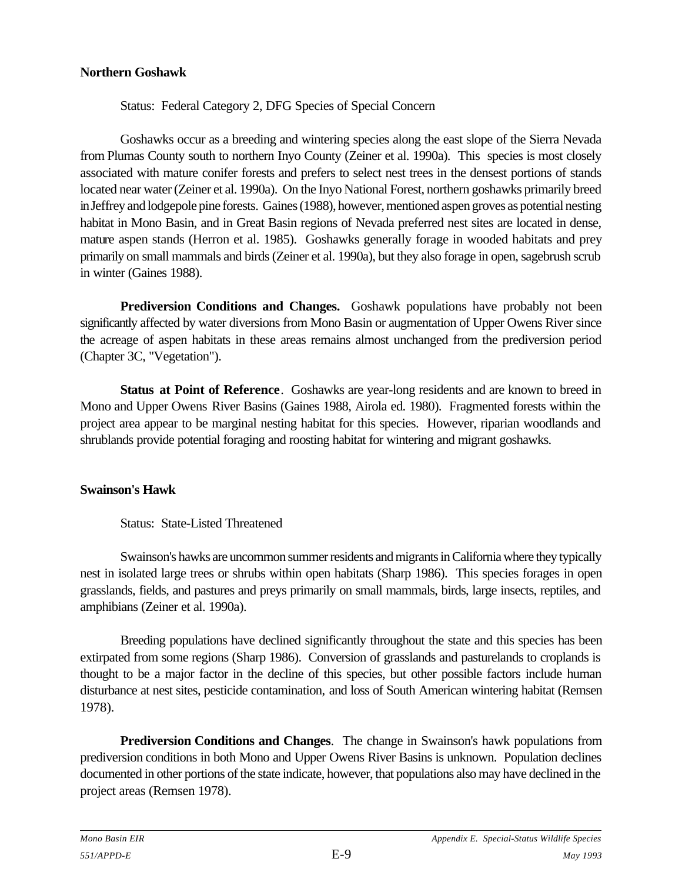#### **Northern Goshawk**

Status: Federal Category 2, DFG Species of Special Concern

Goshawks occur as a breeding and wintering species along the east slope of the Sierra Nevada from Plumas County south to northern Inyo County (Zeiner et al. 1990a). This species is most closely associated with mature conifer forests and prefers to select nest trees in the densest portions of stands located near water (Zeiner et al. 1990a). On the Inyo National Forest, northern goshawks primarily breed in Jeffrey and lodgepole pine forests. Gaines (1988), however, mentioned aspen groves as potential nesting habitat in Mono Basin, and in Great Basin regions of Nevada preferred nest sites are located in dense, mature aspen stands (Herron et al. 1985). Goshawks generally forage in wooded habitats and prey primarily on small mammals and birds (Zeiner et al. 1990a), but they also forage in open, sagebrush scrub in winter (Gaines 1988).

**Prediversion Conditions and Changes.** Goshawk populations have probably not been significantly affected by water diversions from Mono Basin or augmentation of Upper Owens River since the acreage of aspen habitats in these areas remains almost unchanged from the prediversion period (Chapter 3C, "Vegetation").

**Status at Point of Reference**. Goshawks are year-long residents and are known to breed in Mono and Upper Owens River Basins (Gaines 1988, Airola ed. 1980). Fragmented forests within the project area appear to be marginal nesting habitat for this species. However, riparian woodlands and shrublands provide potential foraging and roosting habitat for wintering and migrant goshawks.

#### **Swainson's Hawk**

### Status: State-Listed Threatened

Swainson's hawks are uncommon summer residents and migrants in California where they typically nest in isolated large trees or shrubs within open habitats (Sharp 1986). This species forages in open grasslands, fields, and pastures and preys primarily on small mammals, birds, large insects, reptiles, and amphibians (Zeiner et al. 1990a).

Breeding populations have declined significantly throughout the state and this species has been extirpated from some regions (Sharp 1986). Conversion of grasslands and pasturelands to croplands is thought to be a major factor in the decline of this species, but other possible factors include human disturbance at nest sites, pesticide contamination, and loss of South American wintering habitat (Remsen 1978).

**Prediversion Conditions and Changes**. The change in Swainson's hawk populations from prediversion conditions in both Mono and Upper Owens River Basins is unknown. Population declines documented in other portions of the state indicate, however, that populations also may have declined in the project areas (Remsen 1978).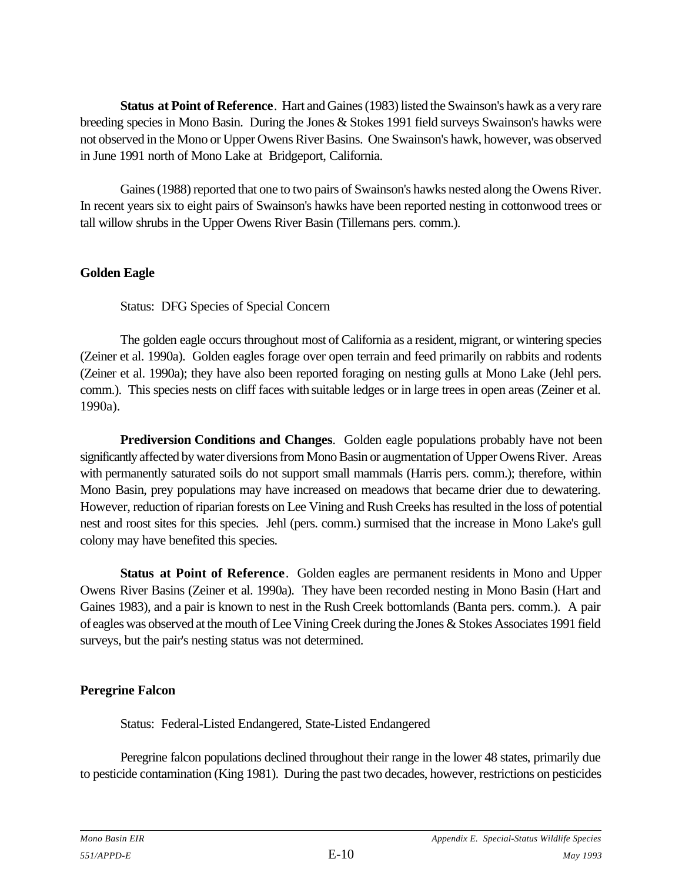**Status at Point of Reference**. Hart and Gaines (1983) listed the Swainson's hawk as a very rare breeding species in Mono Basin. During the Jones & Stokes 1991 field surveys Swainson's hawks were not observed in the Mono or Upper Owens River Basins. One Swainson's hawk, however, was observed in June 1991 north of Mono Lake at Bridgeport, California.

Gaines (1988) reported that one to two pairs of Swainson's hawks nested along the Owens River. In recent years six to eight pairs of Swainson's hawks have been reported nesting in cottonwood trees or tall willow shrubs in the Upper Owens River Basin (Tillemans pers. comm.).

### **Golden Eagle**

Status: DFG Species of Special Concern

The golden eagle occurs throughout most of California as a resident, migrant, or wintering species (Zeiner et al. 1990a). Golden eagles forage over open terrain and feed primarily on rabbits and rodents (Zeiner et al. 1990a); they have also been reported foraging on nesting gulls at Mono Lake (Jehl pers. comm.). This species nests on cliff faces with suitable ledges or in large trees in open areas (Zeiner et al. 1990a).

**Prediversion Conditions and Changes**. Golden eagle populations probably have not been significantly affected by water diversions from Mono Basin or augmentation of Upper Owens River. Areas with permanently saturated soils do not support small mammals (Harris pers. comm.); therefore, within Mono Basin, prey populations may have increased on meadows that became drier due to dewatering. However, reduction of riparian forests on Lee Vining and Rush Creeks has resulted in the loss of potential nest and roost sites for this species. Jehl (pers. comm.) surmised that the increase in Mono Lake's gull colony may have benefited this species.

**Status at Point of Reference**. Golden eagles are permanent residents in Mono and Upper Owens River Basins (Zeiner et al. 1990a). They have been recorded nesting in Mono Basin (Hart and Gaines 1983), and a pair is known to nest in the Rush Creek bottomlands (Banta pers. comm.). A pair of eagles was observed at the mouth of Lee Vining Creek during the Jones & Stokes Associates 1991 field surveys, but the pair's nesting status was not determined.

### **Peregrine Falcon**

Status: Federal-Listed Endangered, State-Listed Endangered

Peregrine falcon populations declined throughout their range in the lower 48 states, primarily due to pesticide contamination (King 1981). During the past two decades, however, restrictions on pesticides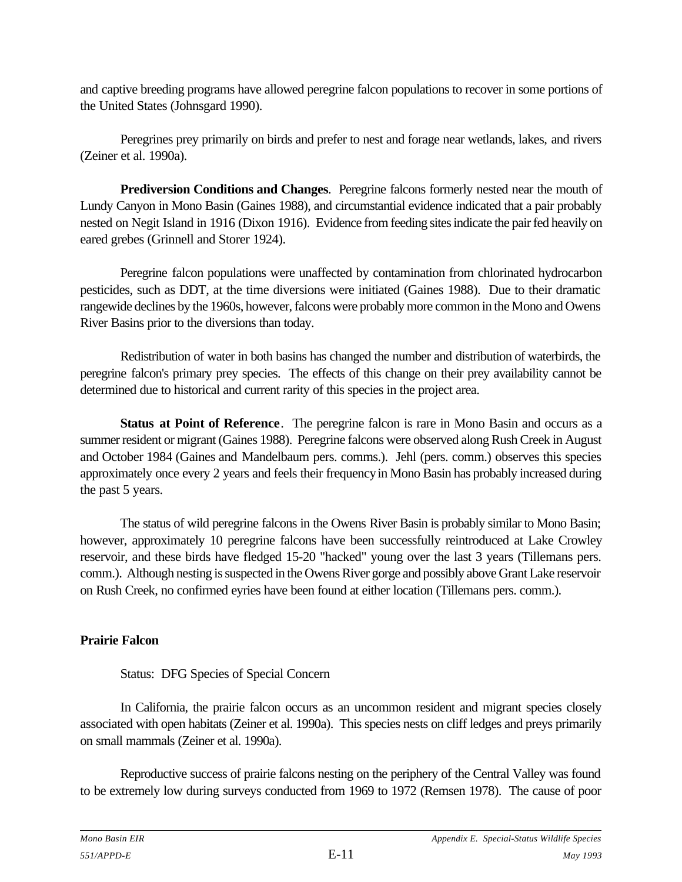and captive breeding programs have allowed peregrine falcon populations to recover in some portions of the United States (Johnsgard 1990).

Peregrines prey primarily on birds and prefer to nest and forage near wetlands, lakes, and rivers (Zeiner et al. 1990a).

**Prediversion Conditions and Changes**. Peregrine falcons formerly nested near the mouth of Lundy Canyon in Mono Basin (Gaines 1988), and circumstantial evidence indicated that a pair probably nested on Negit Island in 1916 (Dixon 1916). Evidence from feeding sites indicate the pair fed heavily on eared grebes (Grinnell and Storer 1924).

Peregrine falcon populations were unaffected by contamination from chlorinated hydrocarbon pesticides, such as DDT, at the time diversions were initiated (Gaines 1988). Due to their dramatic rangewide declines by the 1960s, however, falcons were probably more common in the Mono and Owens River Basins prior to the diversions than today.

Redistribution of water in both basins has changed the number and distribution of waterbirds, the peregrine falcon's primary prey species. The effects of this change on their prey availability cannot be determined due to historical and current rarity of this species in the project area.

**Status at Point of Reference**. The peregrine falcon is rare in Mono Basin and occurs as a summer resident or migrant (Gaines 1988). Peregrine falcons were observed along Rush Creek in August and October 1984 (Gaines and Mandelbaum pers. comms.). Jehl (pers. comm.) observes this species approximately once every 2 years and feels their frequency in Mono Basin has probably increased during the past 5 years.

The status of wild peregrine falcons in the Owens River Basin is probably similar to Mono Basin; however, approximately 10 peregrine falcons have been successfully reintroduced at Lake Crowley reservoir, and these birds have fledged 15-20 "hacked" young over the last 3 years (Tillemans pers. comm.). Although nesting is suspected in the Owens River gorge and possibly above Grant Lake reservoir on Rush Creek, no confirmed eyries have been found at either location (Tillemans pers. comm.).

### **Prairie Falcon**

### Status: DFG Species of Special Concern

In California, the prairie falcon occurs as an uncommon resident and migrant species closely associated with open habitats (Zeiner et al. 1990a). This species nests on cliff ledges and preys primarily on small mammals (Zeiner et al. 1990a).

Reproductive success of prairie falcons nesting on the periphery of the Central Valley was found to be extremely low during surveys conducted from 1969 to 1972 (Remsen 1978). The cause of poor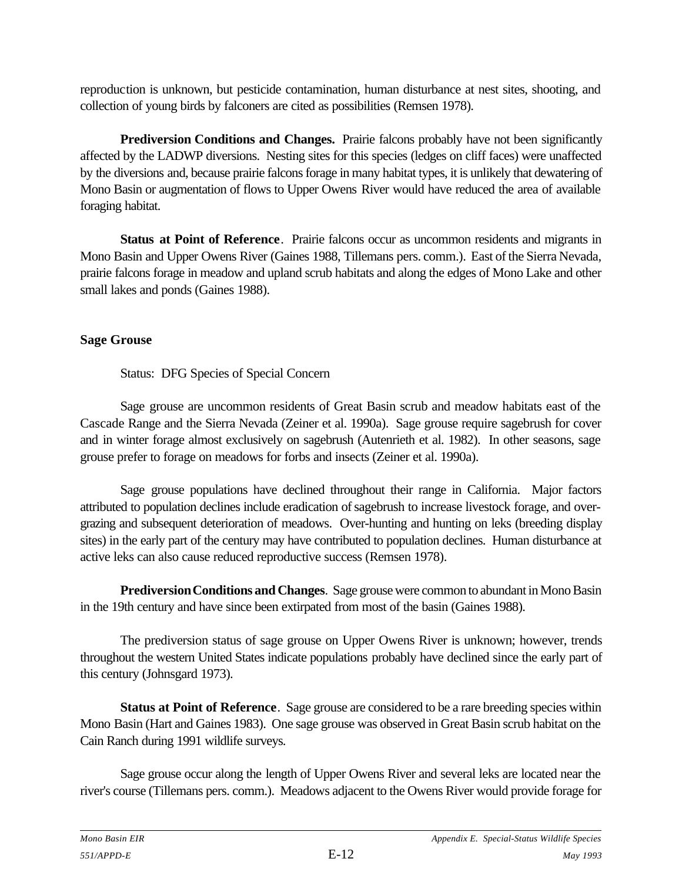reproduction is unknown, but pesticide contamination, human disturbance at nest sites, shooting, and collection of young birds by falconers are cited as possibilities (Remsen 1978).

**Prediversion Conditions and Changes.** Prairie falcons probably have not been significantly affected by the LADWP diversions. Nesting sites for this species (ledges on cliff faces) were unaffected by the diversions and, because prairie falcons forage in many habitat types, it is unlikely that dewatering of Mono Basin or augmentation of flows to Upper Owens River would have reduced the area of available foraging habitat.

**Status at Point of Reference**. Prairie falcons occur as uncommon residents and migrants in Mono Basin and Upper Owens River (Gaines 1988, Tillemans pers. comm.). East of the Sierra Nevada, prairie falcons forage in meadow and upland scrub habitats and along the edges of Mono Lake and other small lakes and ponds (Gaines 1988).

### **Sage Grouse**

Status: DFG Species of Special Concern

Sage grouse are uncommon residents of Great Basin scrub and meadow habitats east of the Cascade Range and the Sierra Nevada (Zeiner et al. 1990a). Sage grouse require sagebrush for cover and in winter forage almost exclusively on sagebrush (Autenrieth et al. 1982). In other seasons, sage grouse prefer to forage on meadows for forbs and insects (Zeiner et al. 1990a).

Sage grouse populations have declined throughout their range in California. Major factors attributed to population declines include eradication of sagebrush to increase livestock forage, and overgrazing and subsequent deterioration of meadows. Over-hunting and hunting on leks (breeding display sites) in the early part of the century may have contributed to population declines. Human disturbance at active leks can also cause reduced reproductive success (Remsen 1978).

**Prediversion Conditions and Changes**. Sage grouse were common to abundant in Mono Basin in the 19th century and have since been extirpated from most of the basin (Gaines 1988).

The prediversion status of sage grouse on Upper Owens River is unknown; however, trends throughout the western United States indicate populations probably have declined since the early part of this century (Johnsgard 1973).

**Status at Point of Reference.** Sage grouse are considered to be a rare breeding species within Mono Basin (Hart and Gaines 1983). One sage grouse was observed in Great Basin scrub habitat on the Cain Ranch during 1991 wildlife surveys.

Sage grouse occur along the length of Upper Owens River and several leks are located near the river's course (Tillemans pers. comm.). Meadows adjacent to the Owens River would provide forage for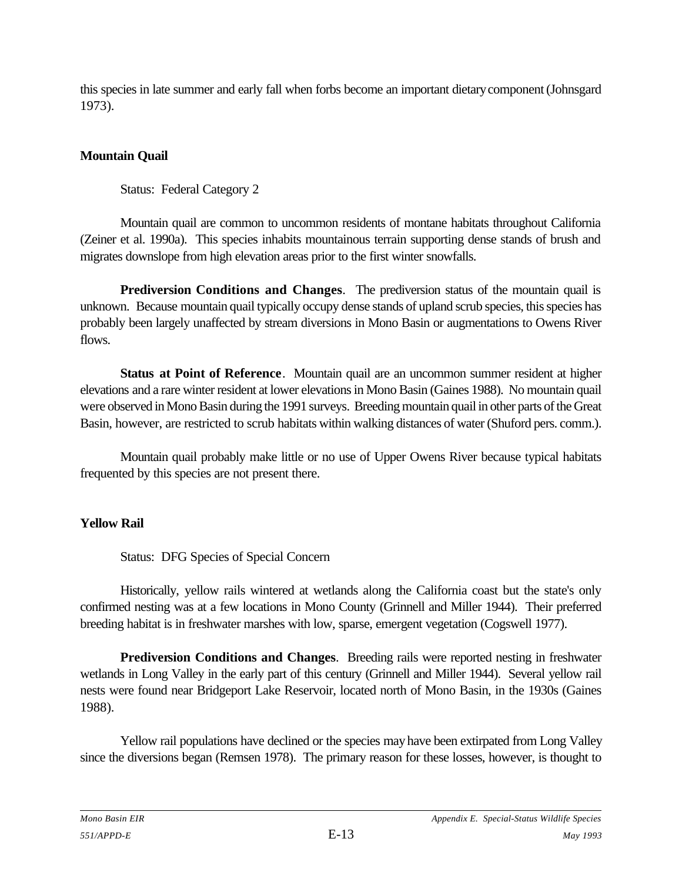this species in late summer and early fall when forbs become an important dietary component (Johnsgard 1973).

## **Mountain Quail**

Status: Federal Category 2

Mountain quail are common to uncommon residents of montane habitats throughout California (Zeiner et al. 1990a). This species inhabits mountainous terrain supporting dense stands of brush and migrates downslope from high elevation areas prior to the first winter snowfalls.

**Prediversion Conditions and Changes**. The prediversion status of the mountain quail is unknown. Because mountain quail typically occupy dense stands of upland scrub species, this species has probably been largely unaffected by stream diversions in Mono Basin or augmentations to Owens River flows.

**Status at Point of Reference**. Mountain quail are an uncommon summer resident at higher elevations and a rare winter resident at lower elevations in Mono Basin (Gaines 1988). No mountain quail were observed in Mono Basin during the 1991 surveys. Breeding mountain quail in other parts of the Great Basin, however, are restricted to scrub habitats within walking distances of water (Shuford pers. comm.).

Mountain quail probably make little or no use of Upper Owens River because typical habitats frequented by this species are not present there.

### **Yellow Rail**

Status: DFG Species of Special Concern

Historically, yellow rails wintered at wetlands along the California coast but the state's only confirmed nesting was at a few locations in Mono County (Grinnell and Miller 1944). Their preferred breeding habitat is in freshwater marshes with low, sparse, emergent vegetation (Cogswell 1977).

**Prediversion Conditions and Changes**. Breeding rails were reported nesting in freshwater wetlands in Long Valley in the early part of this century (Grinnell and Miller 1944). Several yellow rail nests were found near Bridgeport Lake Reservoir, located north of Mono Basin, in the 1930s (Gaines 1988).

Yellow rail populations have declined or the species may have been extirpated from Long Valley since the diversions began (Remsen 1978). The primary reason for these losses, however, is thought to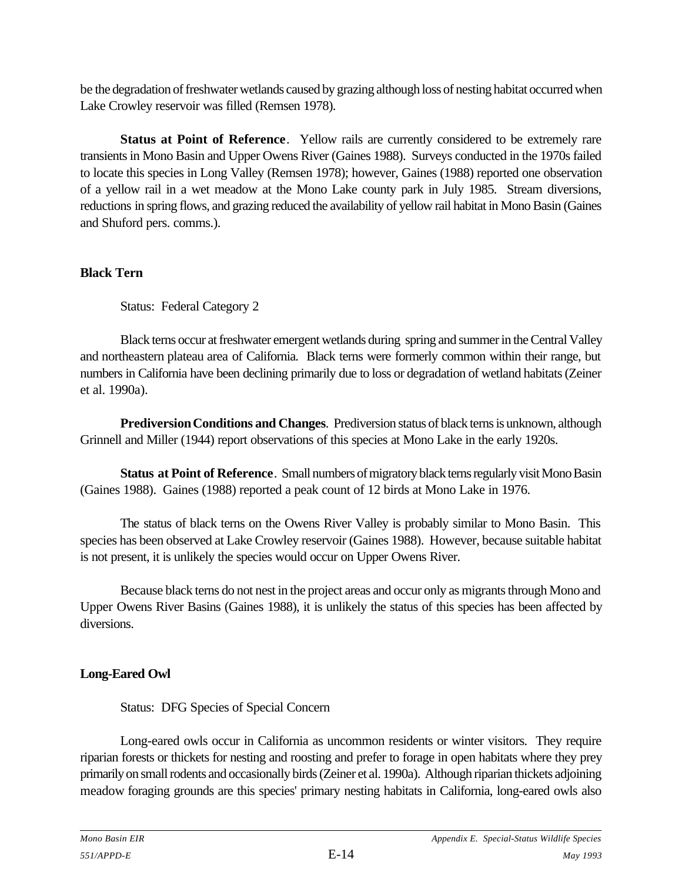be the degradation of freshwater wetlands caused by grazing although loss of nesting habitat occurred when Lake Crowley reservoir was filled (Remsen 1978).

**Status at Point of Reference**. Yellow rails are currently considered to be extremely rare transients in Mono Basin and Upper Owens River (Gaines 1988). Surveys conducted in the 1970s failed to locate this species in Long Valley (Remsen 1978); however, Gaines (1988) reported one observation of a yellow rail in a wet meadow at the Mono Lake county park in July 1985. Stream diversions, reductions in spring flows, and grazing reduced the availability of yellow rail habitat in Mono Basin (Gaines and Shuford pers. comms.).

### **Black Tern**

Status: Federal Category 2

Black terns occur at freshwater emergent wetlands during spring and summer in the Central Valley and northeastern plateau area of California. Black terns were formerly common within their range, but numbers in California have been declining primarily due to loss or degradation of wetland habitats (Zeiner et al. 1990a).

**Prediversion Conditions and Changes**. Prediversion status of black terns is unknown, although Grinnell and Miller (1944) report observations of this species at Mono Lake in the early 1920s.

**Status at Point of Reference**. Small numbers of migratory black terns regularly visit Mono Basin (Gaines 1988). Gaines (1988) reported a peak count of 12 birds at Mono Lake in 1976.

The status of black terns on the Owens River Valley is probably similar to Mono Basin. This species has been observed at Lake Crowley reservoir (Gaines 1988). However, because suitable habitat is not present, it is unlikely the species would occur on Upper Owens River.

Because black terns do not nest in the project areas and occur only as migrants through Mono and Upper Owens River Basins (Gaines 1988), it is unlikely the status of this species has been affected by diversions.

### **Long-Eared Owl**

Status: DFG Species of Special Concern

Long-eared owls occur in California as uncommon residents or winter visitors. They require riparian forests or thickets for nesting and roosting and prefer to forage in open habitats where they prey primarily on small rodents and occasionally birds (Zeiner et al. 1990a). Although riparian thickets adjoining meadow foraging grounds are this species' primary nesting habitats in California, long-eared owls also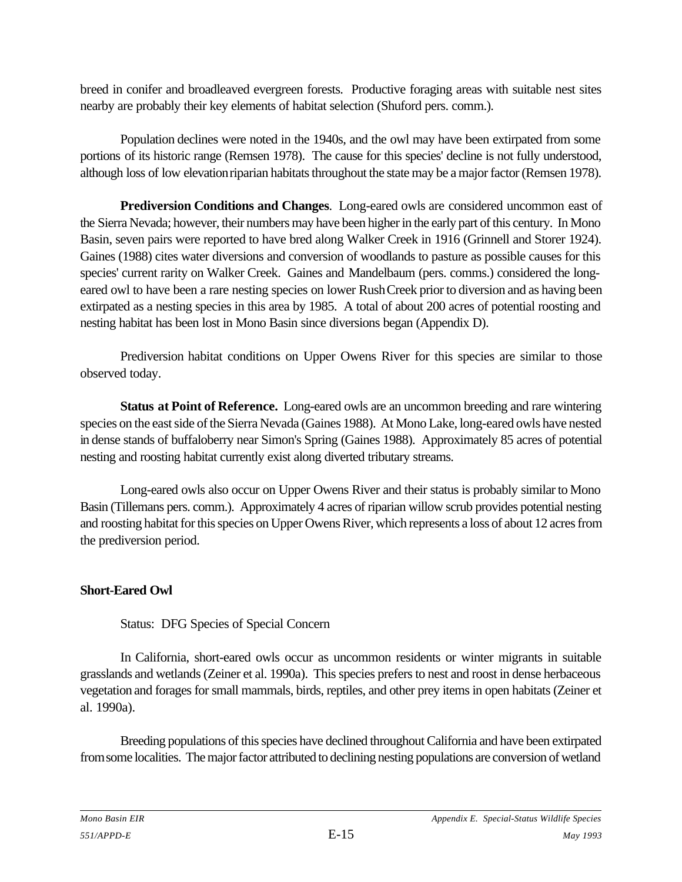breed in conifer and broadleaved evergreen forests. Productive foraging areas with suitable nest sites nearby are probably their key elements of habitat selection (Shuford pers. comm.).

Population declines were noted in the 1940s, and the owl may have been extirpated from some portions of its historic range (Remsen 1978). The cause for this species' decline is not fully understood, although loss of low elevation riparian habitats throughout the state may be a major factor (Remsen 1978).

**Prediversion Conditions and Changes**. Long-eared owls are considered uncommon east of the Sierra Nevada; however, their numbers may have been higher in the early part of this century. In Mono Basin, seven pairs were reported to have bred along Walker Creek in 1916 (Grinnell and Storer 1924). Gaines (1988) cites water diversions and conversion of woodlands to pasture as possible causes for this species' current rarity on Walker Creek. Gaines and Mandelbaum (pers. comms.) considered the longeared owl to have been a rare nesting species on lower Rush Creek prior to diversion and as having been extirpated as a nesting species in this area by 1985. A total of about 200 acres of potential roosting and nesting habitat has been lost in Mono Basin since diversions began (Appendix D).

Prediversion habitat conditions on Upper Owens River for this species are similar to those observed today.

**Status at Point of Reference.** Long-eared owls are an uncommon breeding and rare wintering species on the east side of the Sierra Nevada (Gaines 1988). At Mono Lake, long-eared owls have nested in dense stands of buffaloberry near Simon's Spring (Gaines 1988). Approximately 85 acres of potential nesting and roosting habitat currently exist along diverted tributary streams.

Long-eared owls also occur on Upper Owens River and their status is probably similar to Mono Basin (Tillemans pers. comm.). Approximately 4 acres of riparian willow scrub provides potential nesting and roosting habitat for this species on Upper Owens River, which represents a loss of about 12 acres from the prediversion period.

### **Short-Eared Owl**

Status: DFG Species of Special Concern

In California, short-eared owls occur as uncommon residents or winter migrants in suitable grasslands and wetlands (Zeiner et al. 1990a). This species prefers to nest and roost in dense herbaceous vegetation and forages for small mammals, birds, reptiles, and other prey items in open habitats (Zeiner et al. 1990a).

Breeding populations of this species have declined throughout California and have been extirpated from some localities. The major factor attributed to declining nesting populations are conversion of wetland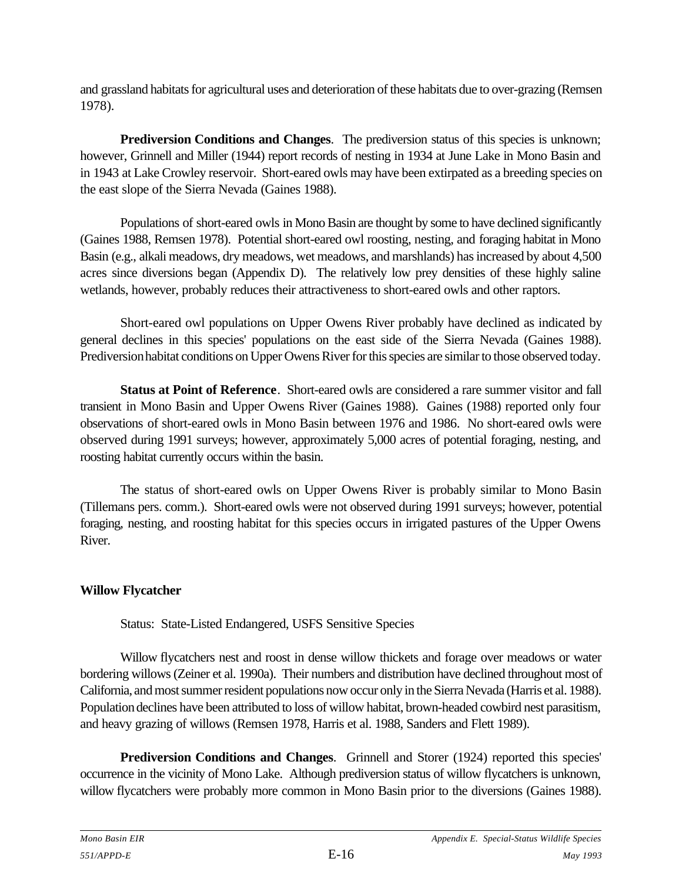and grassland habitats for agricultural uses and deterioration of these habitats due to over-grazing (Remsen 1978).

**Prediversion Conditions and Changes.** The prediversion status of this species is unknown; however, Grinnell and Miller (1944) report records of nesting in 1934 at June Lake in Mono Basin and in 1943 at Lake Crowley reservoir. Short-eared owls may have been extirpated as a breeding species on the east slope of the Sierra Nevada (Gaines 1988).

Populations of short-eared owls in Mono Basin are thought by some to have declined significantly (Gaines 1988, Remsen 1978). Potential short-eared owl roosting, nesting, and foraging habitat in Mono Basin (e.g., alkali meadows, dry meadows, wet meadows, and marshlands) has increased by about 4,500 acres since diversions began (Appendix D). The relatively low prey densities of these highly saline wetlands, however, probably reduces their attractiveness to short-eared owls and other raptors.

Short-eared owl populations on Upper Owens River probably have declined as indicated by general declines in this species' populations on the east side of the Sierra Nevada (Gaines 1988). Prediversion habitat conditions on Upper Owens River for this species are similar to those observed today.

**Status at Point of Reference**. Short-eared owls are considered a rare summer visitor and fall transient in Mono Basin and Upper Owens River (Gaines 1988). Gaines (1988) reported only four observations of short-eared owls in Mono Basin between 1976 and 1986. No short-eared owls were observed during 1991 surveys; however, approximately 5,000 acres of potential foraging, nesting, and roosting habitat currently occurs within the basin.

The status of short-eared owls on Upper Owens River is probably similar to Mono Basin (Tillemans pers. comm.). Short-eared owls were not observed during 1991 surveys; however, potential foraging, nesting, and roosting habitat for this species occurs in irrigated pastures of the Upper Owens River.

### **Willow Flycatcher**

Status: State-Listed Endangered, USFS Sensitive Species

Willow flycatchers nest and roost in dense willow thickets and forage over meadows or water bordering willows (Zeiner et al. 1990a). Their numbers and distribution have declined throughout most of California, and most summer resident populations now occur only in the Sierra Nevada (Harris et al. 1988). Population declines have been attributed to loss of willow habitat, brown-headed cowbird nest parasitism, and heavy grazing of willows (Remsen 1978, Harris et al. 1988, Sanders and Flett 1989).

**Prediversion Conditions and Changes**. Grinnell and Storer (1924) reported this species' occurrence in the vicinity of Mono Lake. Although prediversion status of willow flycatchers is unknown, willow flycatchers were probably more common in Mono Basin prior to the diversions (Gaines 1988).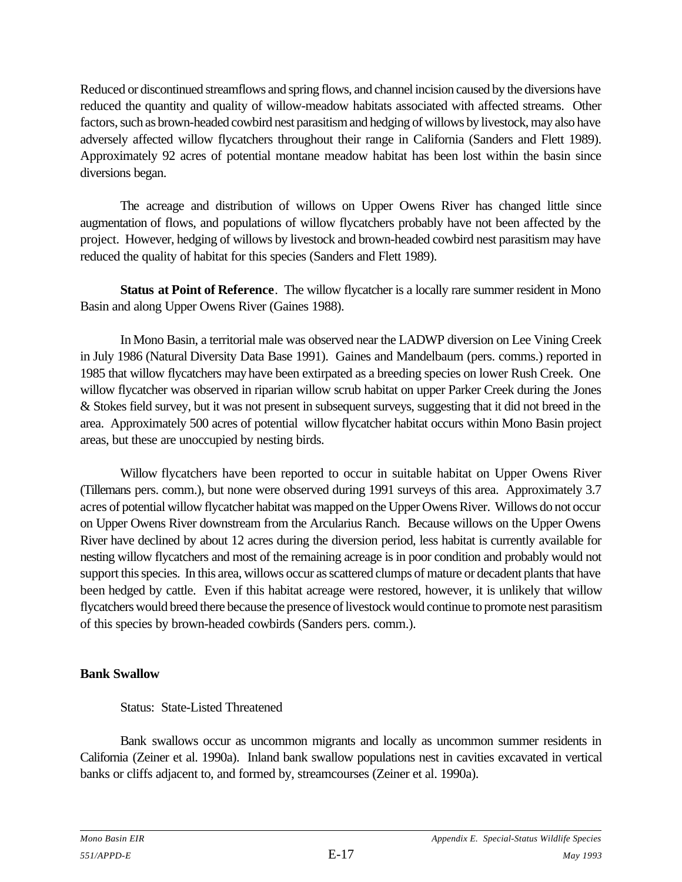Reduced or discontinued streamflows and spring flows, and channel incision caused by the diversions have reduced the quantity and quality of willow-meadow habitats associated with affected streams. Other factors, such as brown-headed cowbird nest parasitism and hedging of willows by livestock, may also have adversely affected willow flycatchers throughout their range in California (Sanders and Flett 1989). Approximately 92 acres of potential montane meadow habitat has been lost within the basin since diversions began.

The acreage and distribution of willows on Upper Owens River has changed little since augmentation of flows, and populations of willow flycatchers probably have not been affected by the project. However, hedging of willows by livestock and brown-headed cowbird nest parasitism may have reduced the quality of habitat for this species (Sanders and Flett 1989).

**Status at Point of Reference**. The willow flycatcher is a locally rare summer resident in Mono Basin and along Upper Owens River (Gaines 1988).

In Mono Basin, a territorial male was observed near the LADWP diversion on Lee Vining Creek in July 1986 (Natural Diversity Data Base 1991). Gaines and Mandelbaum (pers. comms.) reported in 1985 that willow flycatchers may have been extirpated as a breeding species on lower Rush Creek. One willow flycatcher was observed in riparian willow scrub habitat on upper Parker Creek during the Jones & Stokes field survey, but it was not present in subsequent surveys, suggesting that it did not breed in the area. Approximately 500 acres of potential willow flycatcher habitat occurs within Mono Basin project areas, but these are unoccupied by nesting birds.

Willow flycatchers have been reported to occur in suitable habitat on Upper Owens River (Tillemans pers. comm.), but none were observed during 1991 surveys of this area. Approximately 3.7 acres of potential willow flycatcher habitat was mapped on the Upper Owens River. Willows do not occur on Upper Owens River downstream from the Arcularius Ranch. Because willows on the Upper Owens River have declined by about 12 acres during the diversion period, less habitat is currently available for nesting willow flycatchers and most of the remaining acreage is in poor condition and probably would not support this species. In this area, willows occur as scattered clumps of mature or decadent plants that have been hedged by cattle. Even if this habitat acreage were restored, however, it is unlikely that willow flycatchers would breed there because the presence of livestock would continue to promote nest parasitism of this species by brown-headed cowbirds (Sanders pers. comm.).

### **Bank Swallow**

Status: State-Listed Threatened

Bank swallows occur as uncommon migrants and locally as uncommon summer residents in California (Zeiner et al. 1990a). Inland bank swallow populations nest in cavities excavated in vertical banks or cliffs adjacent to, and formed by, streamcourses (Zeiner et al. 1990a).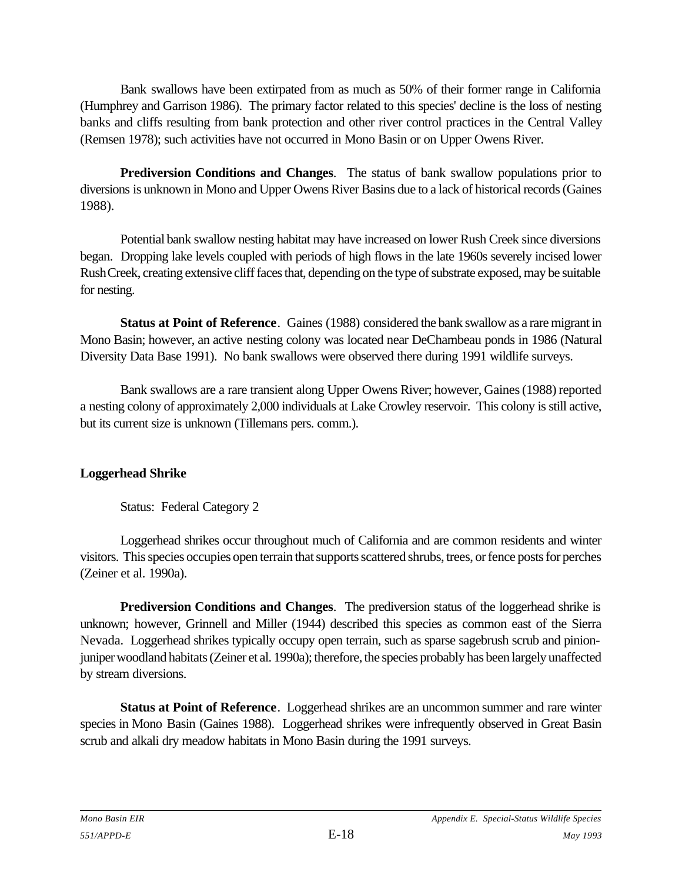Bank swallows have been extirpated from as much as 50% of their former range in California (Humphrey and Garrison 1986). The primary factor related to this species' decline is the loss of nesting banks and cliffs resulting from bank protection and other river control practices in the Central Valley (Remsen 1978); such activities have not occurred in Mono Basin or on Upper Owens River.

**Prediversion Conditions and Changes**. The status of bank swallow populations prior to diversions is unknown in Mono and Upper Owens River Basins due to a lack of historical records (Gaines 1988).

Potential bank swallow nesting habitat may have increased on lower Rush Creek since diversions began. Dropping lake levels coupled with periods of high flows in the late 1960s severely incised lower Rush Creek, creating extensive cliff faces that, depending on the type of substrate exposed, may be suitable for nesting.

**Status at Point of Reference**. Gaines (1988) considered the bank swallow as a rare migrant in Mono Basin; however, an active nesting colony was located near DeChambeau ponds in 1986 (Natural Diversity Data Base 1991). No bank swallows were observed there during 1991 wildlife surveys.

Bank swallows are a rare transient along Upper Owens River; however, Gaines (1988) reported a nesting colony of approximately 2,000 individuals at Lake Crowley reservoir. This colony is still active, but its current size is unknown (Tillemans pers. comm.).

### **Loggerhead Shrike**

Status: Federal Category 2

Loggerhead shrikes occur throughout much of California and are common residents and winter visitors. This species occupies open terrain that supports scattered shrubs, trees, or fence posts for perches (Zeiner et al. 1990a).

**Prediversion Conditions and Changes**. The prediversion status of the loggerhead shrike is unknown; however, Grinnell and Miller (1944) described this species as common east of the Sierra Nevada. Loggerhead shrikes typically occupy open terrain, such as sparse sagebrush scrub and pinionjuniper woodland habitats (Zeiner et al. 1990a); therefore, the species probably has been largely unaffected by stream diversions.

**Status at Point of Reference**. Loggerhead shrikes are an uncommon summer and rare winter species in Mono Basin (Gaines 1988). Loggerhead shrikes were infrequently observed in Great Basin scrub and alkali dry meadow habitats in Mono Basin during the 1991 surveys.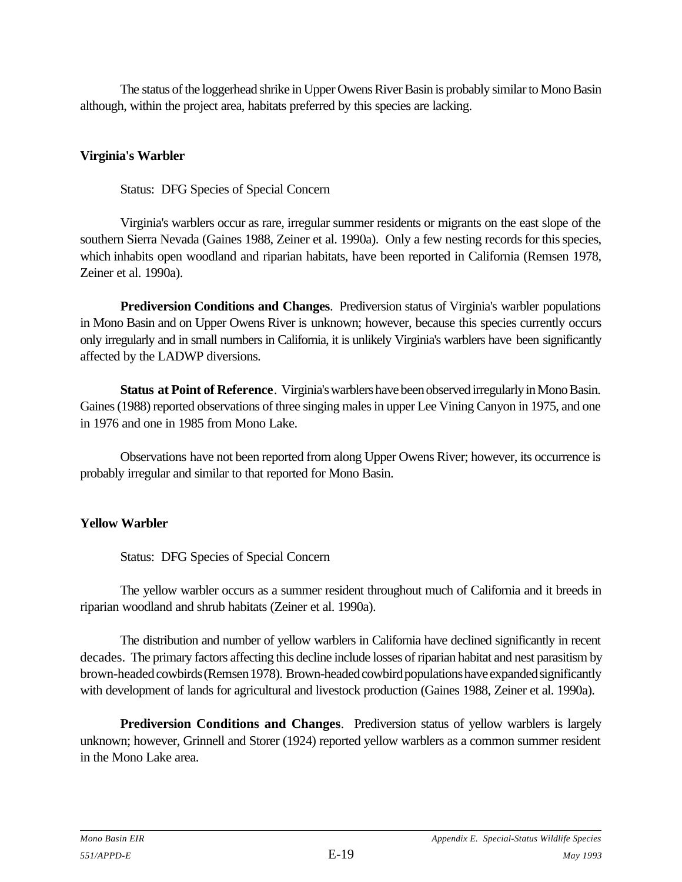The status of the loggerhead shrike in Upper Owens River Basin is probably similar to Mono Basin although, within the project area, habitats preferred by this species are lacking.

#### **Virginia's Warbler**

Status: DFG Species of Special Concern

Virginia's warblers occur as rare, irregular summer residents or migrants on the east slope of the southern Sierra Nevada (Gaines 1988, Zeiner et al. 1990a). Only a few nesting records for this species, which inhabits open woodland and riparian habitats, have been reported in California (Remsen 1978, Zeiner et al. 1990a).

**Prediversion Conditions and Changes**. Prediversion status of Virginia's warbler populations in Mono Basin and on Upper Owens River is unknown; however, because this species currently occurs only irregularly and in small numbers in California, it is unlikely Virginia's warblers have been significantly affected by the LADWP diversions.

**Status at Point of Reference**. Virginia's warblers have been observed irregularly in Mono Basin. Gaines (1988) reported observations of three singing males in upper Lee Vining Canyon in 1975, and one in 1976 and one in 1985 from Mono Lake.

Observations have not been reported from along Upper Owens River; however, its occurrence is probably irregular and similar to that reported for Mono Basin.

### **Yellow Warbler**

Status: DFG Species of Special Concern

The yellow warbler occurs as a summer resident throughout much of California and it breeds in riparian woodland and shrub habitats (Zeiner et al. 1990a).

The distribution and number of yellow warblers in California have declined significantly in recent decades. The primary factors affecting this decline include losses of riparian habitat and nest parasitism by brown-headed cowbirds (Remsen 1978). Brown-headed cowbird populations have expanded significantly with development of lands for agricultural and livestock production (Gaines 1988, Zeiner et al. 1990a).

**Prediversion Conditions and Changes**. Prediversion status of yellow warblers is largely unknown; however, Grinnell and Storer (1924) reported yellow warblers as a common summer resident in the Mono Lake area.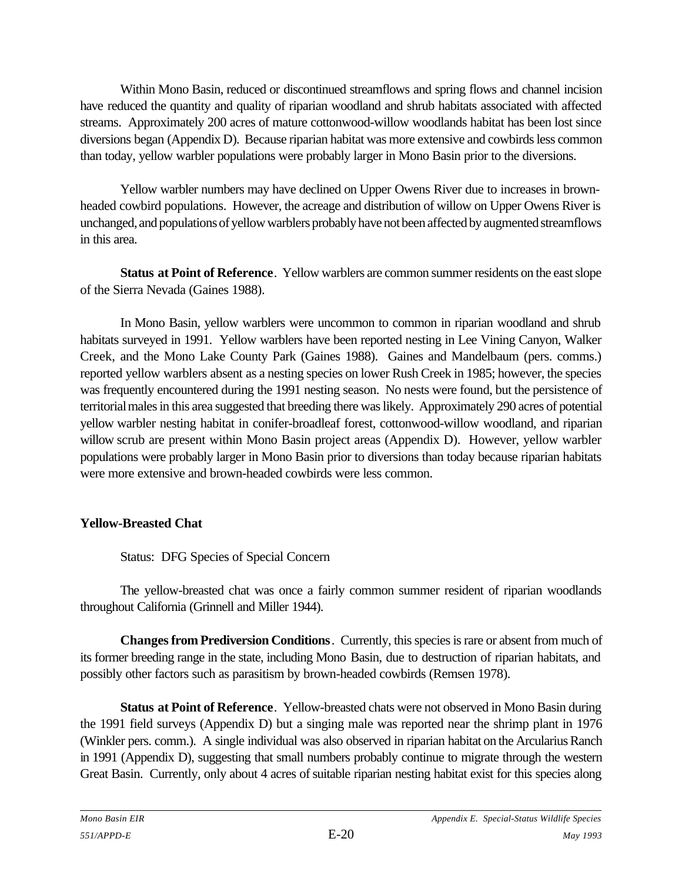Within Mono Basin, reduced or discontinued streamflows and spring flows and channel incision have reduced the quantity and quality of riparian woodland and shrub habitats associated with affected streams. Approximately 200 acres of mature cottonwood-willow woodlands habitat has been lost since diversions began (Appendix D). Because riparian habitat was more extensive and cowbirds less common than today, yellow warbler populations were probably larger in Mono Basin prior to the diversions.

Yellow warbler numbers may have declined on Upper Owens River due to increases in brownheaded cowbird populations. However, the acreage and distribution of willow on Upper Owens River is unchanged, and populations of yellow warblers probably have not been affected by augmented streamflows in this area.

**Status at Point of Reference**. Yellow warblers are common summer residents on the east slope of the Sierra Nevada (Gaines 1988).

In Mono Basin, yellow warblers were uncommon to common in riparian woodland and shrub habitats surveyed in 1991. Yellow warblers have been reported nesting in Lee Vining Canyon, Walker Creek, and the Mono Lake County Park (Gaines 1988). Gaines and Mandelbaum (pers. comms.) reported yellow warblers absent as a nesting species on lower Rush Creek in 1985; however, the species was frequently encountered during the 1991 nesting season. No nests were found, but the persistence of territorial males in this area suggested that breeding there was likely. Approximately 290 acres of potential yellow warbler nesting habitat in conifer-broadleaf forest, cottonwood-willow woodland, and riparian willow scrub are present within Mono Basin project areas (Appendix D). However, yellow warbler populations were probably larger in Mono Basin prior to diversions than today because riparian habitats were more extensive and brown-headed cowbirds were less common.

### **Yellow-Breasted Chat**

Status: DFG Species of Special Concern

The yellow-breasted chat was once a fairly common summer resident of riparian woodlands throughout California (Grinnell and Miller 1944).

**Changes from Prediversion Conditions**. Currently, this species is rare or absent from much of its former breeding range in the state, including Mono Basin, due to destruction of riparian habitats, and possibly other factors such as parasitism by brown-headed cowbirds (Remsen 1978).

**Status at Point of Reference**. Yellow-breasted chats were not observed in Mono Basin during the 1991 field surveys (Appendix D) but a singing male was reported near the shrimp plant in 1976 (Winkler pers. comm.). A single individual was also observed in riparian habitat on the Arcularius Ranch in 1991 (Appendix D), suggesting that small numbers probably continue to migrate through the western Great Basin. Currently, only about 4 acres of suitable riparian nesting habitat exist for this species along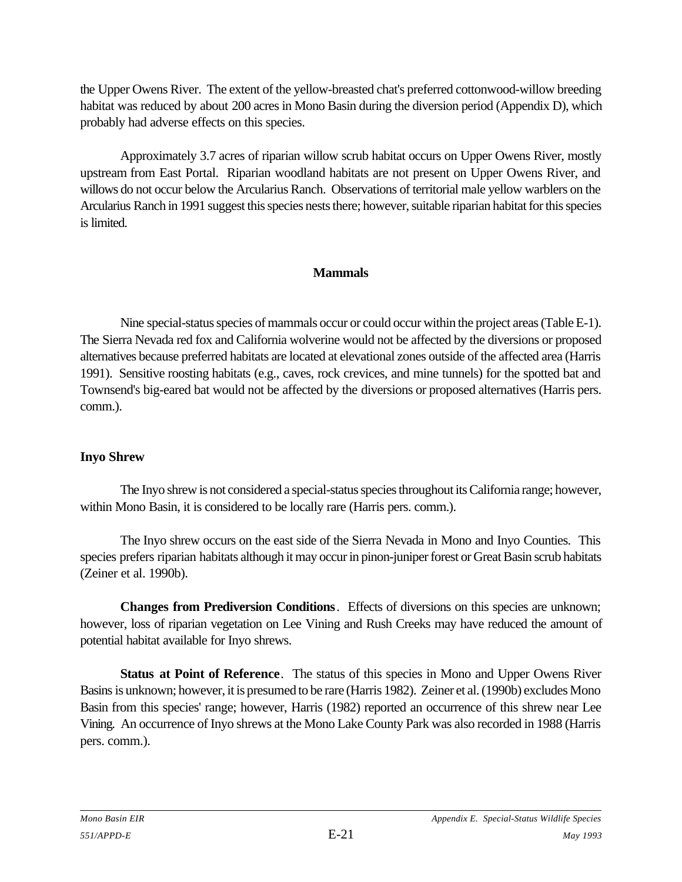the Upper Owens River. The extent of the yellow-breasted chat's preferred cottonwood-willow breeding habitat was reduced by about 200 acres in Mono Basin during the diversion period (Appendix D), which probably had adverse effects on this species.

Approximately 3.7 acres of riparian willow scrub habitat occurs on Upper Owens River, mostly upstream from East Portal. Riparian woodland habitats are not present on Upper Owens River, and willows do not occur below the Arcularius Ranch. Observations of territorial male yellow warblers on the Arcularius Ranch in 1991 suggest this species nests there; however, suitable riparian habitat for this species is limited.

### **Mammals**

Nine special-status species of mammals occur or could occur within the project areas (Table E-1). The Sierra Nevada red fox and California wolverine would not be affected by the diversions or proposed alternatives because preferred habitats are located at elevational zones outside of the affected area (Harris 1991). Sensitive roosting habitats (e.g., caves, rock crevices, and mine tunnels) for the spotted bat and Townsend's big-eared bat would not be affected by the diversions or proposed alternatives (Harris pers. comm.).

### **Inyo Shrew**

The Inyo shrew is not considered a special-status species throughout its California range; however, within Mono Basin, it is considered to be locally rare (Harris pers. comm.).

The Inyo shrew occurs on the east side of the Sierra Nevada in Mono and Inyo Counties. This species prefers riparian habitats although it may occur in pinon-juniper forest or Great Basin scrub habitats (Zeiner et al. 1990b).

**Changes from Prediversion Conditions**. Effects of diversions on this species are unknown; however, loss of riparian vegetation on Lee Vining and Rush Creeks may have reduced the amount of potential habitat available for Inyo shrews.

**Status at Point of Reference**. The status of this species in Mono and Upper Owens River Basins is unknown; however, it is presumed to be rare (Harris 1982). Zeiner et al. (1990b) excludes Mono Basin from this species' range; however, Harris (1982) reported an occurrence of this shrew near Lee Vining. An occurrence of Inyo shrews at the Mono Lake County Park was also recorded in 1988 (Harris pers. comm.).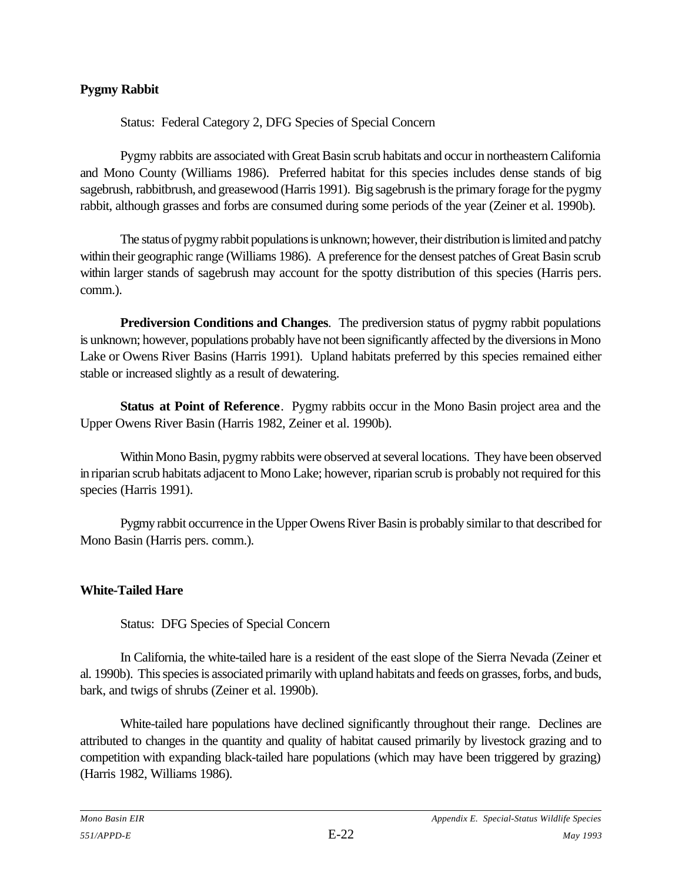### **Pygmy Rabbit**

Status: Federal Category 2, DFG Species of Special Concern

Pygmy rabbits are associated with Great Basin scrub habitats and occur in northeastern California and Mono County (Williams 1986). Preferred habitat for this species includes dense stands of big sagebrush, rabbitbrush, and greasewood (Harris 1991). Big sagebrush is the primary forage for the pygmy rabbit, although grasses and forbs are consumed during some periods of the year (Zeiner et al. 1990b).

The status of pygmy rabbit populations is unknown; however, their distribution is limited and patchy within their geographic range (Williams 1986). A preference for the densest patches of Great Basin scrub within larger stands of sagebrush may account for the spotty distribution of this species (Harris pers. comm.).

**Prediversion Conditions and Changes**. The prediversion status of pygmy rabbit populations is unknown; however, populations probably have not been significantly affected by the diversions in Mono Lake or Owens River Basins (Harris 1991). Upland habitats preferred by this species remained either stable or increased slightly as a result of dewatering.

**Status at Point of Reference**. Pygmy rabbits occur in the Mono Basin project area and the Upper Owens River Basin (Harris 1982, Zeiner et al. 1990b).

Within Mono Basin, pygmy rabbits were observed at several locations. They have been observed in riparian scrub habitats adjacent to Mono Lake; however, riparian scrub is probably not required for this species (Harris 1991).

Pygmy rabbit occurrence in the Upper Owens River Basin is probably similar to that described for Mono Basin (Harris pers. comm.).

### **White-Tailed Hare**

Status: DFG Species of Special Concern

In California, the white-tailed hare is a resident of the east slope of the Sierra Nevada (Zeiner et al. 1990b). This species is associated primarily with upland habitats and feeds on grasses, forbs, and buds, bark, and twigs of shrubs (Zeiner et al. 1990b).

White-tailed hare populations have declined significantly throughout their range. Declines are attributed to changes in the quantity and quality of habitat caused primarily by livestock grazing and to competition with expanding black-tailed hare populations (which may have been triggered by grazing) (Harris 1982, Williams 1986).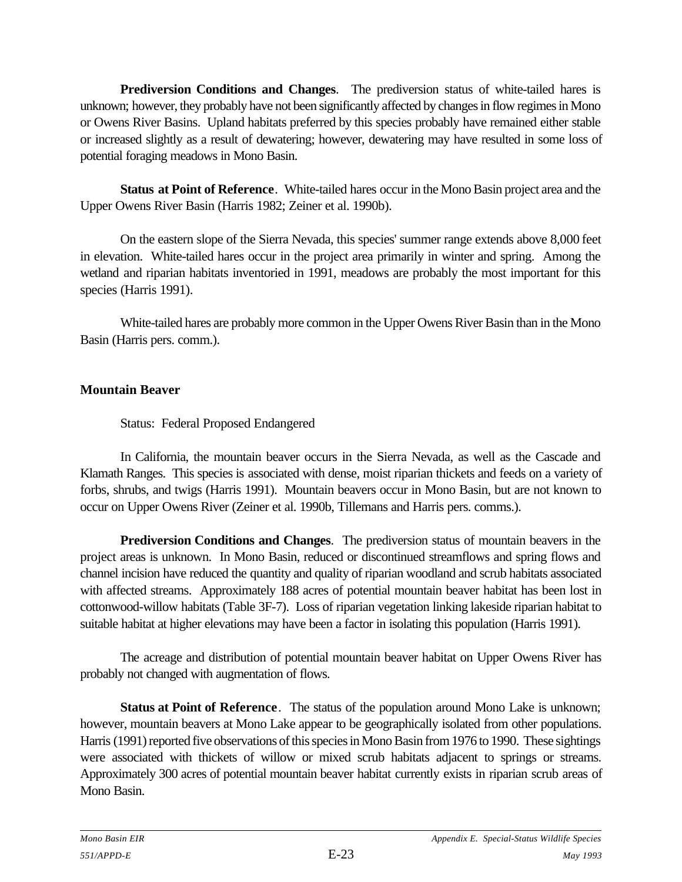**Prediversion Conditions and Changes**. The prediversion status of white-tailed hares is unknown; however, they probably have not been significantly affected by changes in flow regimes in Mono or Owens River Basins. Upland habitats preferred by this species probably have remained either stable or increased slightly as a result of dewatering; however, dewatering may have resulted in some loss of potential foraging meadows in Mono Basin.

**Status at Point of Reference**. White-tailed hares occur in the Mono Basin project area and the Upper Owens River Basin (Harris 1982; Zeiner et al. 1990b).

On the eastern slope of the Sierra Nevada, this species' summer range extends above 8,000 feet in elevation. White-tailed hares occur in the project area primarily in winter and spring. Among the wetland and riparian habitats inventoried in 1991, meadows are probably the most important for this species (Harris 1991).

White-tailed hares are probably more common in the Upper Owens River Basin than in the Mono Basin (Harris pers. comm.).

### **Mountain Beaver**

Status: Federal Proposed Endangered

In California, the mountain beaver occurs in the Sierra Nevada, as well as the Cascade and Klamath Ranges. This species is associated with dense, moist riparian thickets and feeds on a variety of forbs, shrubs, and twigs (Harris 1991). Mountain beavers occur in Mono Basin, but are not known to occur on Upper Owens River (Zeiner et al. 1990b, Tillemans and Harris pers. comms.).

**Prediversion Conditions and Changes**. The prediversion status of mountain beavers in the project areas is unknown. In Mono Basin, reduced or discontinued streamflows and spring flows and channel incision have reduced the quantity and quality of riparian woodland and scrub habitats associated with affected streams. Approximately 188 acres of potential mountain beaver habitat has been lost in cottonwood-willow habitats (Table 3F-7). Loss of riparian vegetation linking lakeside riparian habitat to suitable habitat at higher elevations may have been a factor in isolating this population (Harris 1991).

The acreage and distribution of potential mountain beaver habitat on Upper Owens River has probably not changed with augmentation of flows.

**Status at Point of Reference**. The status of the population around Mono Lake is unknown; however, mountain beavers at Mono Lake appear to be geographically isolated from other populations. Harris (1991) reported five observations of this species in Mono Basin from 1976 to 1990. These sightings were associated with thickets of willow or mixed scrub habitats adjacent to springs or streams. Approximately 300 acres of potential mountain beaver habitat currently exists in riparian scrub areas of Mono Basin.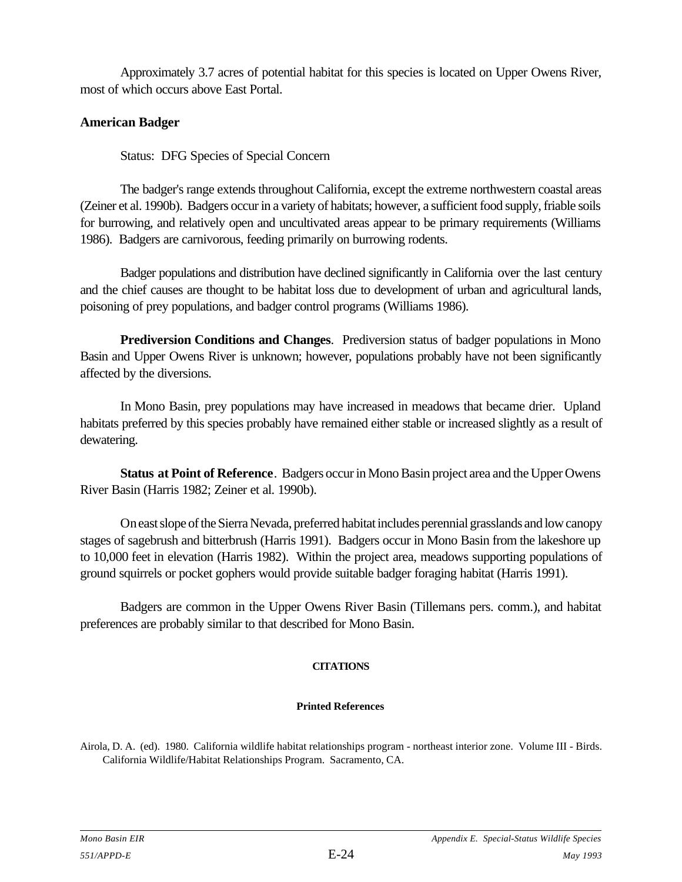Approximately 3.7 acres of potential habitat for this species is located on Upper Owens River, most of which occurs above East Portal.

#### **American Badger**

Status: DFG Species of Special Concern

The badger's range extends throughout California, except the extreme northwestern coastal areas (Zeiner et al. 1990b). Badgers occur in a variety of habitats; however, a sufficient food supply, friable soils for burrowing, and relatively open and uncultivated areas appear to be primary requirements (Williams 1986). Badgers are carnivorous, feeding primarily on burrowing rodents.

Badger populations and distribution have declined significantly in California over the last century and the chief causes are thought to be habitat loss due to development of urban and agricultural lands, poisoning of prey populations, and badger control programs (Williams 1986).

**Prediversion Conditions and Changes**. Prediversion status of badger populations in Mono Basin and Upper Owens River is unknown; however, populations probably have not been significantly affected by the diversions.

In Mono Basin, prey populations may have increased in meadows that became drier. Upland habitats preferred by this species probably have remained either stable or increased slightly as a result of dewatering.

**Status at Point of Reference**. Badgers occur in Mono Basin project area and the Upper Owens River Basin (Harris 1982; Zeiner et al. 1990b).

On east slope of the Sierra Nevada, preferred habitat includes perennial grasslands and low canopy stages of sagebrush and bitterbrush (Harris 1991). Badgers occur in Mono Basin from the lakeshore up to 10,000 feet in elevation (Harris 1982). Within the project area, meadows supporting populations of ground squirrels or pocket gophers would provide suitable badger foraging habitat (Harris 1991).

Badgers are common in the Upper Owens River Basin (Tillemans pers. comm.), and habitat preferences are probably similar to that described for Mono Basin.

#### **CITATIONS**

#### **Printed References**

Airola, D. A. (ed). 1980. California wildlife habitat relationships program - northeast interior zone. Volume III - Birds. California Wildlife/Habitat Relationships Program. Sacramento, CA.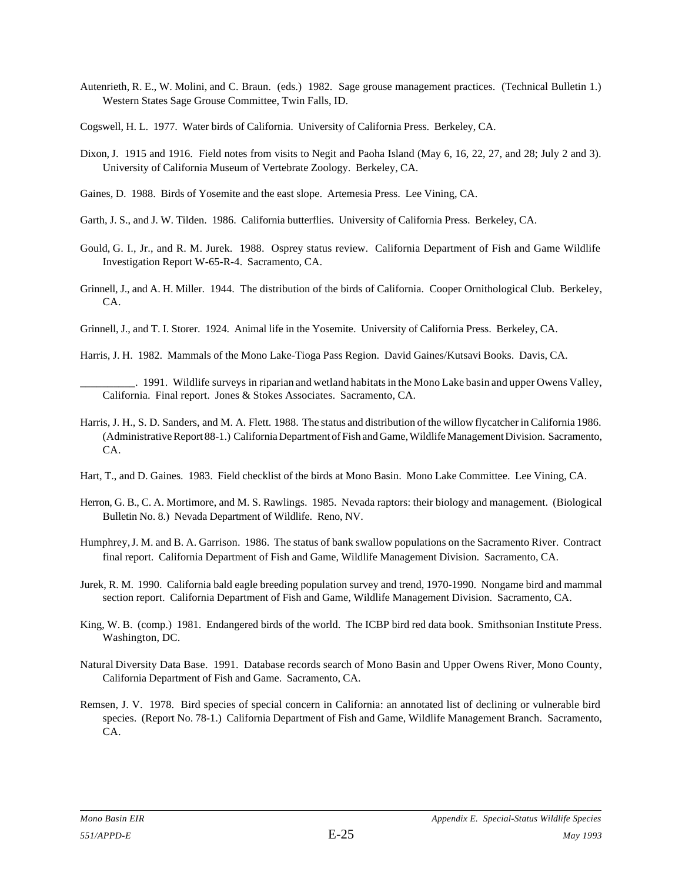- Autenrieth, R. E., W. Molini, and C. Braun. (eds.) 1982. Sage grouse management practices. (Technical Bulletin 1.) Western States Sage Grouse Committee, Twin Falls, ID.
- Cogswell, H. L. 1977. Water birds of California. University of California Press. Berkeley, CA.
- Dixon, J. 1915 and 1916. Field notes from visits to Negit and Paoha Island (May 6, 16, 22, 27, and 28; July 2 and 3). University of California Museum of Vertebrate Zoology. Berkeley, CA.
- Gaines, D. 1988. Birds of Yosemite and the east slope. Artemesia Press. Lee Vining, CA.
- Garth, J. S., and J. W. Tilden. 1986. California butterflies. University of California Press. Berkeley, CA.
- Gould, G. I., Jr., and R. M. Jurek. 1988. Osprey status review. California Department of Fish and Game Wildlife Investigation Report W-65-R-4. Sacramento, CA.
- Grinnell, J., and A. H. Miller. 1944. The distribution of the birds of California. Cooper Ornithological Club. Berkeley, CA.
- Grinnell, J., and T. I. Storer. 1924. Animal life in the Yosemite. University of California Press. Berkeley, CA.
- Harris, J. H. 1982. Mammals of the Mono Lake-Tioga Pass Region. David Gaines/Kutsavi Books. Davis, CA.

- Harris, J. H., S. D. Sanders, and M. A. Flett. 1988. The status and distribution of the willow flycatcher in California 1986. (Administrative Report 88-1.) California Department of Fish and Game, Wildlife Management Division. Sacramento, CA.
- Hart, T., and D. Gaines. 1983. Field checklist of the birds at Mono Basin. Mono Lake Committee. Lee Vining, CA.
- Herron, G. B., C. A. Mortimore, and M. S. Rawlings. 1985. Nevada raptors: their biology and management. (Biological Bulletin No. 8.) Nevada Department of Wildlife. Reno, NV.
- Humphrey, J. M. and B. A. Garrison. 1986. The status of bank swallow populations on the Sacramento River. Contract final report. California Department of Fish and Game, Wildlife Management Division. Sacramento, CA.
- Jurek, R. M. 1990. California bald eagle breeding population survey and trend, 1970-1990. Nongame bird and mammal section report. California Department of Fish and Game, Wildlife Management Division. Sacramento, CA.
- King, W. B. (comp.) 1981. Endangered birds of the world. The ICBP bird red data book. Smithsonian Institute Press. Washington, DC.
- Natural Diversity Data Base. 1991. Database records search of Mono Basin and Upper Owens River, Mono County, California Department of Fish and Game. Sacramento, CA.
- Remsen, J. V. 1978. Bird species of special concern in California: an annotated list of declining or vulnerable bird species. (Report No. 78-1.) California Department of Fish and Game, Wildlife Management Branch. Sacramento, CA.

\_\_\_\_\_\_\_\_\_\_. 1991. Wildlife surveys in riparian and wetland habitats in the Mono Lake basin and upper Owens Valley, California. Final report. Jones & Stokes Associates. Sacramento, CA.